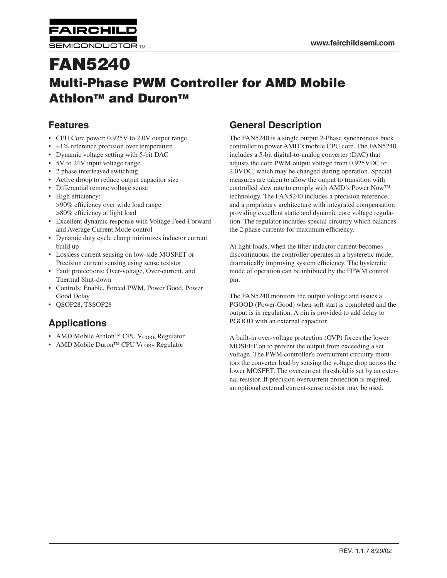**AIRCHIL SEMICONDUCTOR TM** 

# **FAN5240 Multi-Phase PWM Controller for AMD Mobile AthlonTM and DuronTM**

# **Features**

- CPU Core power: 0.925V to 2.0V output range
- $\cdot$   $\pm$ 1% reference precision over temperature
- Dynamic voltage setting with 5-bit DAC
- 5V to 24V input voltage range
- 2 phase interleaved switching
- Active droop to reduce output capacitor size
- Differential remote voltage sense
- High efficiency: >90% efficiency over wide load range >80% efficiency at light load
- Excellent dynamic response with Voltage Feed-Forward and Average Current Mode control
- Dynamic duty cycle clamp minimizes inductor current build up
- Lossless current sensing on low-side MOSFET or Precision current sensing using sense resistor
- Fault protections: Over-voltage, Over-current, and Thermal Shut-down
- Controls: Enable, Forced PWM, Power Good, Power Good Delay
- QSOP28, TSSOP28

# **Applications**

- AMD Mobile Athlon<sup>TM</sup> CPU V<sub>CORE</sub> Regulator
- AMD Mobile Duron<sup>TM</sup> CPU V<sub>CORE</sub> Regulator

# **General Description**

The FAN5240 is a single output 2-Phase synchronous buck controller to power AMD's mobile CPU core. The FAN5240 includes a 5-bit digital-to-analog converter (DAC) that adjusts the core PWM output voltage from 0.925VDC to 2.0VDC, which may be changed during operation. Special measures are taken to allow the output to transition with controlled slew rate to comply with AMD's Power Now technology. The FAN5240 includes a precision reference, and a proprietary architecture with integrated compensation providing excellent static and dynamic core voltage regulation. The regulator includes special circuitry which balances the 2 phase currents for maximum efficiency.

At light loads, when the filter inductor current becomes discontinuous, the controller operates in a hysteretic mode, dramatically improving system efficiency. The hysteretic mode of operation can be inhibited by the FPWM control pin.

The FAN5240 monitors the output voltage and issues a PGOOD (Power-Good) when soft start is completed and the output is in regulation. A pin is provided to add delay to PGOOD with an external capacitor.

A built-in over-voltage protection (OVP) forces the lower MOSFET on to prevent the output from exceeding a set voltage. The PWM controller's overcurrent circuitry monitors the converter load by sensing the voltage drop across the lower MOSFET. The overcurrent threshold is set by an external resistor. If precision overcurrent protection is required, an optional external current-sense resistor may be used.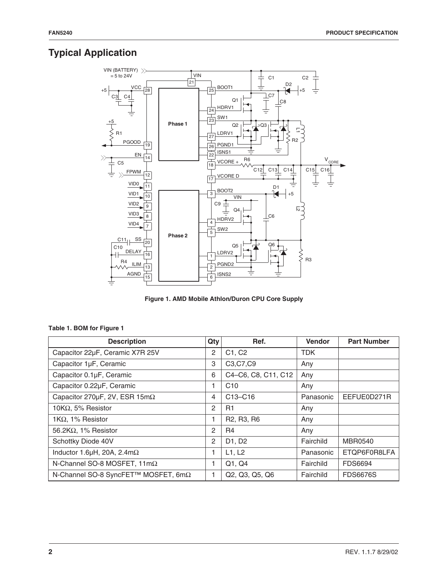# **Typical Application**



**Figure 1. AMD Mobile Athlon/Duron CPU Core Supply**

| <b>Description</b>                       | Qty | Ref.                                                              | <b>Vendor</b> | <b>Part Number</b> |
|------------------------------------------|-----|-------------------------------------------------------------------|---------------|--------------------|
| Capacitor 22µF, Ceramic X7R 25V          | 2   | C1, C2                                                            | <b>TDK</b>    |                    |
| Capacitor 1µF, Ceramic                   | 3   | C3, C7, C9                                                        | Any           |                    |
| Capacitor 0.1µF, Ceramic                 | 6   | C4-C6, C8, C11, C12                                               | Any           |                    |
| Capacitor 0.22µF, Ceramic                |     | C <sub>10</sub>                                                   | Any           |                    |
| Capacitor 270μF, 2V, ESR 15mΩ            | 4   | C13-C16                                                           | Panasonic     | EEFUE0D271R        |
| 10K $\Omega$ , 5% Resistor               | 2   | R1                                                                | Any           |                    |
| 1K $\Omega$ , 1% Resistor                | 1   | R <sub>2</sub> , R <sub>3</sub> , R <sub>6</sub>                  | Any           |                    |
| 56.2K $\Omega$ , 1% Resistor             | 2   | R <sub>4</sub>                                                    | Any           |                    |
| Schottky Diode 40V                       | 2   | D1, D2                                                            | Fairchild     | MBR0540            |
| Inductor 1.6 $\mu$ H, 20A, 2.4m $\Omega$ |     | L1, L2                                                            | Panasonic     | ETQP6F0R8LFA       |
| N-Channel SO-8 MOSFET, 11mΩ              |     | Q1, Q4                                                            | Fairchild     | <b>FDS6694</b>     |
| N-Channel SO-8 SyncFET™ MOSFET, 6mΩ      | 1   | Q <sub>2</sub> , Q <sub>3</sub> , Q <sub>5</sub> , Q <sub>6</sub> | Fairchild     | <b>FDS6676S</b>    |

#### **Table 1. BOM for Figure 1**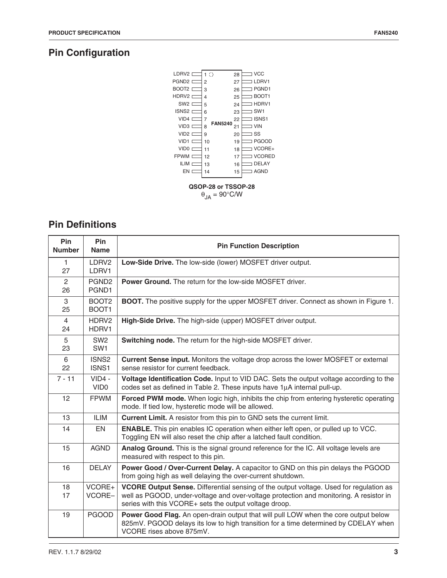# **Pin Configuration**



# **Pin Definitions**

| Pin<br><b>Number</b>        | <b>Pin</b><br><b>Name</b>              | <b>Pin Function Description</b>                                                                                                                                                                                                            |
|-----------------------------|----------------------------------------|--------------------------------------------------------------------------------------------------------------------------------------------------------------------------------------------------------------------------------------------|
| $\mathbf{1}$<br>27          | LDRV2<br>LDRV1                         | Low-Side Drive. The low-side (lower) MOSFET driver output.                                                                                                                                                                                 |
| $\mathbf{2}^{\prime}$<br>26 | PGND <sub>2</sub><br>PGND1             | Power Ground. The return for the low-side MOSFET driver.                                                                                                                                                                                   |
| 3<br>25                     | BOOT <sub>2</sub><br>BOOT <sub>1</sub> | BOOT. The positive supply for the upper MOSFET driver. Connect as shown in Figure 1.                                                                                                                                                       |
| $\overline{4}$<br>24        | HDRV2<br>HDRV1                         | High-Side Drive. The high-side (upper) MOSFET driver output.                                                                                                                                                                               |
| 5<br>23                     | SW <sub>2</sub><br>SW <sub>1</sub>     | Switching node. The return for the high-side MOSFET driver.                                                                                                                                                                                |
| 6<br>22                     | ISNS <sub>2</sub><br>ISNS1             | Current Sense input. Monitors the voltage drop across the lower MOSFET or external<br>sense resistor for current feedback.                                                                                                                 |
| $7 - 11$                    | $VID4 -$<br>VID <sub>0</sub>           | Voltage Identification Code. Input to VID DAC. Sets the output voltage according to the<br>codes set as defined in Table 2. These inputs have 1µA internal pull-up.                                                                        |
| 12                          | <b>FPWM</b>                            | Forced PWM mode. When logic high, inhibits the chip from entering hysteretic operating<br>mode. If tied low, hysteretic mode will be allowed.                                                                                              |
| 13                          | <b>ILIM</b>                            | Current Limit. A resistor from this pin to GND sets the current limit.                                                                                                                                                                     |
| 14                          | <b>EN</b>                              | <b>ENABLE.</b> This pin enables IC operation when either left open, or pulled up to VCC.<br>Toggling EN will also reset the chip after a latched fault condition.                                                                          |
| 15                          | <b>AGND</b>                            | Analog Ground. This is the signal ground reference for the IC. All voltage levels are<br>measured with respect to this pin.                                                                                                                |
| 16                          | <b>DELAY</b>                           | Power Good / Over-Current Delay. A capacitor to GND on this pin delays the PGOOD<br>from going high as well delaying the over-current shutdown.                                                                                            |
| 18<br>17                    | VCORE+<br>VCORE-                       | VCORE Output Sense. Differential sensing of the output voltage. Used for regulation as<br>well as PGOOD, under-voltage and over-voltage protection and monitoring. A resistor in<br>series with this VCORE+ sets the output voltage droop. |
| 19                          | <b>PGOOD</b>                           | Power Good Flag. An open-drain output that will pull LOW when the core output below<br>825mV. PGOOD delays its low to high transition for a time determined by CDELAY when<br>VCORE rises above 875mV.                                     |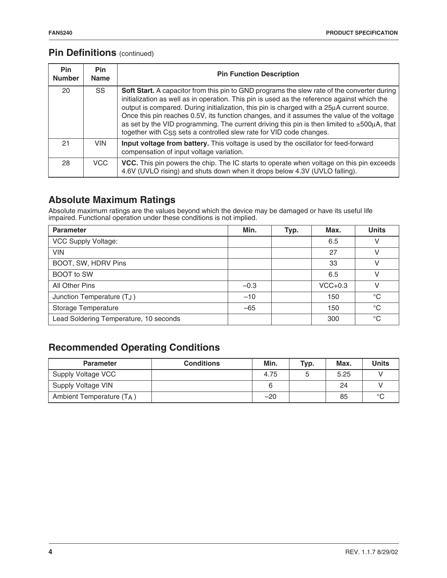## **Pin Definitions** (continued)

| <b>Pin</b><br><b>Number</b> | <b>Pin</b><br><b>Name</b> | <b>Pin Function Description</b>                                                                                                                                                                                                                                                                                                                                                                                                                                                                                                                                     |
|-----------------------------|---------------------------|---------------------------------------------------------------------------------------------------------------------------------------------------------------------------------------------------------------------------------------------------------------------------------------------------------------------------------------------------------------------------------------------------------------------------------------------------------------------------------------------------------------------------------------------------------------------|
| 20                          | <b>SS</b>                 | Soft Start. A capacitor from this pin to GND programs the slew rate of the converter during<br>initialization as well as in operation. This pin is used as the reference against which the<br>output is compared. During initialization, this pin is charged with a 25µA current source.<br>Once this pin reaches 0.5V, its function changes, and it assumes the value of the voltage<br>as set by the VID programming. The current driving this pin is then limited to $\pm 500\mu$ A, that<br>together with CSS sets a controlled slew rate for VID code changes. |
| 21                          | <b>VIN</b>                | Input voltage from battery. This voltage is used by the oscillator for feed-forward<br>compensation of input voltage variation.                                                                                                                                                                                                                                                                                                                                                                                                                                     |
| 28                          | VCC.                      | <b>VCC.</b> This pin powers the chip. The IC starts to operate when voltage on this pin exceeds<br>4.6V (UVLO rising) and shuts down when it drops below 4.3V (UVLO falling).                                                                                                                                                                                                                                                                                                                                                                                       |

# **Absolute Maximum Ratings**

Absolute maximum ratings are the values beyond which the device may be damaged or have its useful life impaired. Functional operation under these conditions is not implied.

| <b>Parameter</b>                       | Min.   | Typ. | Max.      | <b>Units</b> |
|----------------------------------------|--------|------|-----------|--------------|
| VCC Supply Voltage:                    |        |      | 6.5       | V            |
| <b>VIN</b>                             |        |      | 27        | V            |
| BOOT, SW, HDRV Pins                    |        |      | 33        | V            |
| <b>BOOT</b> to SW                      |        |      | 6.5       | V            |
| All Other Pins                         | $-0.3$ |      | $VCC+0.3$ | v            |
| Junction Temperature (TJ)              | $-10$  |      | 150       | $^{\circ}C$  |
| Storage Temperature                    | $-65$  |      | 150       | $^{\circ}C$  |
| Lead Soldering Temperature, 10 seconds |        |      | 300       | $^{\circ}C$  |

# **Recommended Operating Conditions**

| <b>Parameter</b>         | <b>Conditions</b> | Min.  | Typ. | Max. | <b>Units</b> |
|--------------------------|-------------------|-------|------|------|--------------|
| Supply Voltage VCC       |                   | 4.75  |      | 5.25 |              |
| Supply Voltage VIN       |                   |       |      | 24   |              |
| Ambient Temperature (TA) |                   | $-20$ |      | 85   | $\circ$      |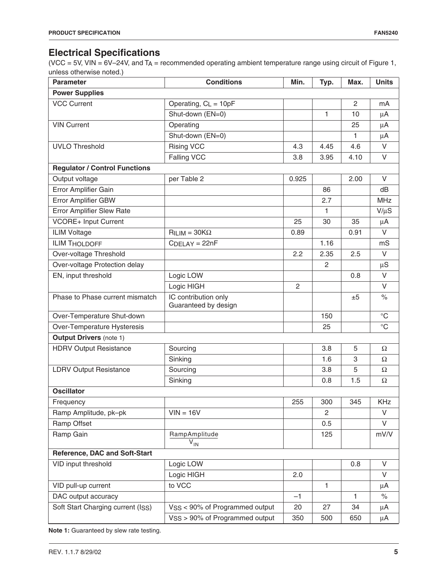# **Electrical Specifications**

(VCC = 5V, VIN = 6V–24V, and TA = recommended operating ambient temperature range using circuit of Figure 1, unless otherwise noted.)

| <b>Parameter</b>                     | <b>Conditions</b>                          | Min.           | Typ.           | Max.         | <b>Units</b>    |  |  |
|--------------------------------------|--------------------------------------------|----------------|----------------|--------------|-----------------|--|--|
| <b>Power Supplies</b>                |                                            |                |                |              |                 |  |  |
| <b>VCC Current</b>                   | Operating, $C_L = 10pF$                    |                |                | 2            | mA              |  |  |
|                                      | Shut-down (EN=0)                           |                | 1              | 10           | $\mu$ A         |  |  |
| <b>VIN Current</b>                   | Operating                                  |                |                | 25           | $\mu$ A         |  |  |
|                                      | Shut-down (EN=0)                           |                |                | 1            | $\mu$ A         |  |  |
| <b>UVLO Threshold</b>                | <b>Rising VCC</b>                          | 4.3            | 4.45           | 4.6          | $\vee$          |  |  |
|                                      | Falling VCC                                | 3.8            | 3.95           | 4.10         | V               |  |  |
| <b>Regulator / Control Functions</b> |                                            |                |                |              |                 |  |  |
| Output voltage                       | per Table 2                                | 0.925          |                | 2.00         | V               |  |  |
| Error Amplifier Gain                 |                                            |                | 86             |              | dB              |  |  |
| Error Amplifier GBW                  |                                            |                | 2.7            |              | <b>MHz</b>      |  |  |
| <b>Error Amplifier Slew Rate</b>     |                                            |                | 1              |              | $V/\mu S$       |  |  |
| <b>VCORE+ Input Current</b>          |                                            | 25             | 30             | 35           | μA              |  |  |
| <b>ILIM Voltage</b>                  | $RILIM = 30K\Omega$                        | 0.89           |                | 0.91         | $\vee$          |  |  |
| <b>ILIM THOLDOFF</b>                 | $CDELAY = 22nF$                            |                | 1.16           |              | mS              |  |  |
| Over-voltage Threshold               |                                            | 2.2            | 2.35           | 2.5          | V               |  |  |
| Over-voltage Protection delay        |                                            |                | $\overline{2}$ |              | $\mu S$         |  |  |
| EN, input threshold                  | Logic LOW                                  |                |                | 0.8          | V               |  |  |
|                                      | Logic HIGH                                 | $\overline{2}$ |                |              | $\vee$          |  |  |
| Phase to Phase current mismatch      | IC contribution only                       |                |                | ±5           | $\%$            |  |  |
|                                      | Guaranteed by design                       |                |                |              |                 |  |  |
| Over-Temperature Shut-down           |                                            |                | 150            |              | $^{\circ}C$     |  |  |
| Over-Temperature Hysteresis          |                                            |                | 25             |              | $\rm ^{\circ}C$ |  |  |
| <b>Output Drivers (note 1)</b>       |                                            |                |                |              |                 |  |  |
| <b>HDRV Output Resistance</b>        | Sourcing                                   |                | 3.8            | 5            | Ω               |  |  |
|                                      | Sinking                                    |                | 1.6            | 3            | $\Omega$        |  |  |
| <b>LDRV Output Resistance</b>        | Sourcing                                   |                | 3.8            | 5            | $\Omega$        |  |  |
|                                      | Sinking                                    |                | 0.8            | 1.5          | $\Omega$        |  |  |
| <b>Oscillator</b>                    |                                            |                |                |              |                 |  |  |
| Frequency                            |                                            | 255            | 300            | 345          | KHz             |  |  |
| Ramp Amplitude, pk-pk                | $VIN = 16V$                                |                | $\overline{2}$ |              | V               |  |  |
| Ramp Offset                          |                                            |                | 0.5            |              | V               |  |  |
| Ramp Gain                            | RampAmplitude                              |                | 125            |              | mV/V            |  |  |
|                                      | $\overline{V}_{IN}$                        |                |                |              |                 |  |  |
| Reference, DAC and Soft-Start        |                                            |                |                |              |                 |  |  |
| VID input threshold                  | Logic LOW                                  |                |                | 0.8          | V               |  |  |
|                                      | Logic HIGH                                 | 2.0            |                |              | V               |  |  |
| VID pull-up current                  | to VCC                                     |                | $\mathbf{1}$   |              | μA              |  |  |
| DAC output accuracy                  |                                            | $-1$           |                | $\mathbf{1}$ | $\%$            |  |  |
| Soft Start Charging current (ISS)    | VSS < 90% of Programmed output             | 20             | 27             | 34           | μA              |  |  |
|                                      | V <sub>SS</sub> > 90% of Programmed output | 350            | 500            | 650          | $\mu$ A         |  |  |

**Note 1:** Guaranteed by slew rate testing.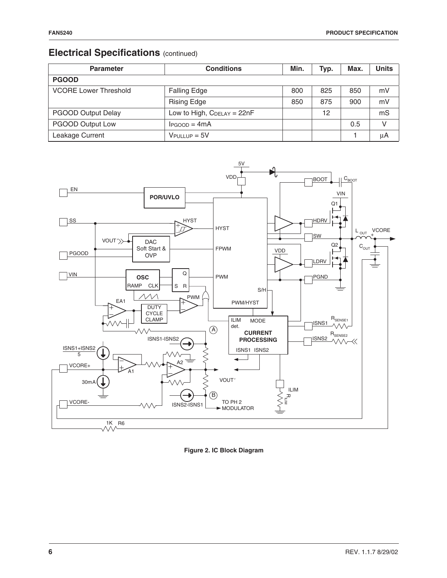# **Electrical Specifications** (continued)

| <b>Parameter</b>             | <b>Conditions</b>               | Min. | Typ. | Max. | <b>Units</b> |
|------------------------------|---------------------------------|------|------|------|--------------|
| <b>PGOOD</b>                 |                                 |      |      |      |              |
| <b>VCORE Lower Threshold</b> | <b>Falling Edge</b>             | 800  | 825  | 850  | mV           |
|                              | <b>Rising Edge</b>              | 850  | 875  | 900  | mV           |
| <b>PGOOD Output Delay</b>    | Low to High, $C_{DELAY} = 22nF$ |      | 12   |      | mS           |
| PGOOD Output Low             | $I_{PGOOD} = 4mA$               |      |      | 0.5  | $\vee$       |
| Leakage Current              | $V$ PULLUP = 5 $V$              |      |      |      | μA           |



**Figure 2. IC Block Diagram**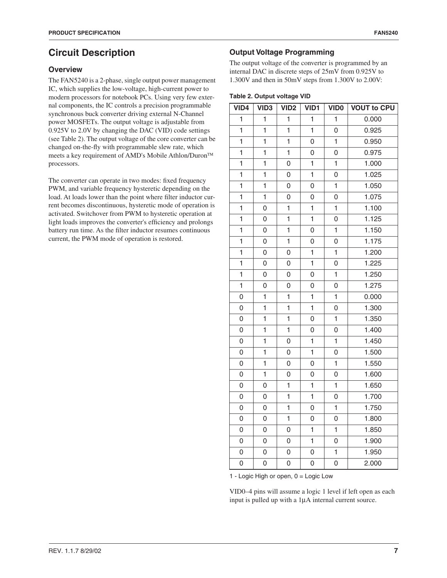# **Circuit Description**

### **Overview**

The FAN5240 is a 2-phase, single output power management IC, which supplies the low-voltage, high-current power to modern processors for notebook PCs. Using very few external components, the IC controls a precision programmable synchronous buck converter driving external N-Channel power MOSFETs. The output voltage is adjustable from 0.925V to 2.0V by changing the DAC (VID) code settings (see Table 2). The output voltage of the core converter can be changed on-the-fly with programmable slew rate, which meets a key requirement of AMD's Mobile Athlon/Duron processors.

The converter can operate in two modes: fixed frequency PWM, and variable frequency hysteretic depending on the load. At loads lower than the point where filter inductor current becomes discontinuous, hysteretic mode of operation is activated. Switchover from PWM to hysteretic operation at light loads improves the converter's efficiency and prolongs battery run time. As the filter inductor resumes continuous current, the PWM mode of operation is restored.

### **Output Voltage Programming**

The output voltage of the converter is programmed by an internal DAC in discrete steps of 25mV from 0.925V to 1.300V and then in 50mV steps from 1.300V to 2.00V:

### **Table 2. Output voltage VID**

| VID4           | VID <sub>3</sub> | VID <sub>2</sub> | VID1           | <b>VID0</b>    | <b>VOUT to CPU</b> |
|----------------|------------------|------------------|----------------|----------------|--------------------|
| $\mathbf{1}$   | 1                | 1                | $\mathbf{1}$   | 1              | 0.000              |
| $\mathbf{1}$   | $\mathbf 1$      | $\mathbf{1}$     | $\mathbf{1}$   | 0              | 0.925              |
| $\mathbf{1}$   | $\mathbf 1$      | $\mathbf{1}$     | 0              | $\mathbf{1}$   | 0.950              |
| $\overline{1}$ | $\mathbf 1$      | $\mathbf{1}$     | $\overline{0}$ | 0              | 0.975              |
| $\mathbf{1}$   | $\mathbf 1$      | 0                | $\mathbf 1$    | $\overline{1}$ | 1.000              |
| $\mathbf{1}$   | $\mathbf{1}$     | 0                | $\mathbf{1}$   | $\overline{0}$ | 1.025              |
| $\mathbf{1}$   | 1                | 0                | $\overline{0}$ | $\mathbf{1}$   | 1.050              |
| $\overline{1}$ | $\mathbf 1$      | 0                | 0              | 0              | $\frac{1}{1.075}$  |
| $\mathbf{1}$   | 0                | 1                | $\mathbf{1}$   | $\mathbf{1}$   | 1.100              |
| $\mathbf{1}$   | 0                | $\mathbf{1}$     | $\mathbf{1}$   | 0              | 1.125              |
| $\mathbf{1}$   | 0                | 1                | 0              | $\mathbf{1}$   | 1.150              |
| $\overline{1}$ | 0                | $\mathbf{1}$     | $\overline{0}$ | 0              | 1.175              |
| $\mathbf{1}$   | 0                | $\overline{0}$   | $\mathbf{1}$   | $\overline{1}$ | 1.200              |
| $\mathbf{1}$   | 0                | 0                | $\mathbf{1}$   | 0              | 1.225              |
| $\mathbf{1}$   | 0                | 0                | 0              | $\mathbf{1}$   | 1.250              |
| $\overline{1}$ | 0                | 0                | 0              | 0              | 1.275              |
| $\overline{0}$ | 1                | 1                | $\mathbf 1$    | $\mathbf{1}$   | 0.000              |
| 0              | $\mathbf 1$      | $\mathbf{1}$     | $\mathbf{1}$   | 0              | 1.300              |
| 0              | 1                | 1                | 0              | $\mathbf{1}$   | 1.350              |
| 0              | 1                | 1                | 0              | 0              | 1.400              |
| $\overline{0}$ | $\mathbf{1}$     | $\overline{0}$   | $\mathbf{1}$   | $\overline{1}$ | 1.450              |
| 0              | 1                | 0                | $\mathbf{1}$   | 0              | 1.500              |
| 0              | 1                | 0                | 0              | 1              | 1.550              |
| 0              | 1                | 0                | 0              | 0              | 1.600              |
| 0              | 0                | $\mathbf{1}$     | 1              | $\mathbf{1}$   | 1.650              |
| 0              | 0                | 1                | 1              | 0              | 1.700              |
| 0              | 0                | 1                | 0              | 1              | 1.750              |
| $\overline{0}$ | 0                | 1                | $\overline{0}$ | $\overline{0}$ | 1.800              |
| 0              | 0                | 0                | 1              | $\mathbf{1}$   | 1.850              |
| 0              | 0                | 0                | 1              | 0              | 1.900              |
| 0              | 0                | 0                | 0              | $\mathbf{1}$   | 1.950              |
| $\overline{0}$ | 0                | 0                | $\overline{0}$ | 0              | 2.000              |

1 - Logic High or open, 0 = Logic Low

VID0–4 pins will assume a logic 1 level if left open as each input is pulled up with a 1µA internal current source.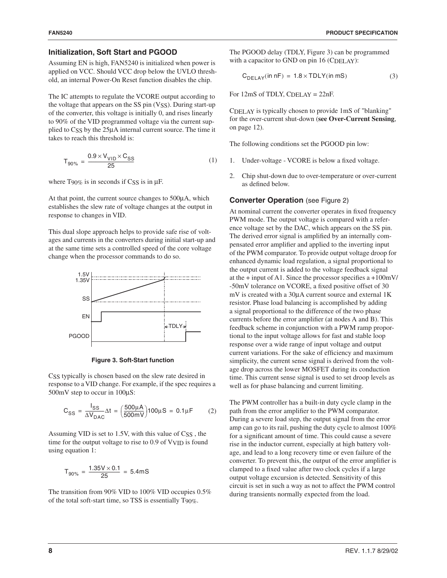#### **Initialization, Soft Start and PGOOD**

Assuming EN is high, FAN5240 is initialized when power is applied on VCC. Should VCC drop below the UVLO threshold, an internal Power-On Reset function disables the chip.

The IC attempts to regulate the VCORE output according to the voltage that appears on the SS pin (VSS). During start-up of the converter, this voltage is initially 0, and rises linearly to 90% of the VID programmed voltage via the current supplied to CSS by the 25µA internal current source. The time it takes to reach this threshold is:

$$
T_{90\%} = \frac{0.9 \times V_{VID} \times C_{SS}}{25}
$$
 (1)

where T90% is in seconds if CSS is in  $\mu$ F.

At that point, the current source changes to 500µA, which establishes the slew rate of voltage changes at the output in response to changes in VID.

This dual slope approach helps to provide safe rise of voltages and currents in the converters during initial start-up and at the same time sets a controlled speed of the core voltage change when the processor commands to do so.



**Figure 3. Soft-Start function**

CSS typically is chosen based on the slew rate desired in response to a VID change. For example, if the spec requires a 500mV step to occur in  $100\mu$ S:

$$
C_{SS} = \frac{I_{SS}}{\Delta V_{DAC}} \Delta t = \left(\frac{500 \mu A}{500 mV}\right) 100 \mu S = 0.1 \mu F \tag{2}
$$

Assuming VID is set to 1.5V, with this value of CSS, the time for the output voltage to rise to 0.9 of VVID is found using equation 1:

$$
T_{90\%} = \frac{1.35V \times 0.1}{25} = 5.4 \text{mS}
$$

The transition from 90% VID to 100% VID occupies 0.5% of the total soft-start time, so TSS is essentially T90%.

The PGOOD delay (TDLY, Figure 3) can be programmed with a capacitor to GND on pin 16 (CDELAY):

$$
C_{DELAY}(\text{in nF}) = 1.8 \times TDLY(\text{in mS}) \tag{3}
$$

For  $12mS$  of TDLY, C<sub>DELAY</sub> =  $22nF$ .

CDELAY is typically chosen to provide 1mS of "blanking" for the over-current shut-down (**see Over-Current Sensing**, on page 12).

The following conditions set the PGOOD pin low:

- 1. Under-voltage VCORE is below a fixed voltage.
- 2. Chip shut-down due to over-temperature or over-current as defined below.

### **Converter Operation** (see Figure 2)

At nominal current the converter operates in fixed frequency PWM mode. The output voltage is compared with a reference voltage set by the DAC, which appears on the SS pin. The derived error signal is amplified by an internally compensated error amplifier and applied to the inverting input of the PWM comparator. To provide output voltage droop for enhanced dynamic load regulation, a signal proportional to the output current is added to the voltage feedback signal at the + input of A1. Since the processor specifies a +100mV/ -50mV tolerance on VCORE, a fixed positive offset of 30 mV is created with a 30µA current source and external 1K resistor. Phase load balancing is accomplished by adding a signal proportional to the difference of the two phase currents before the error amplifier (at nodes A and B). This feedback scheme in conjunction with a PWM ramp proportional to the input voltage allows for fast and stable loop response over a wide range of input voltage and output current variations. For the sake of efficiency and maximum simplicity, the current sense signal is derived from the voltage drop across the lower MOSFET during its conduction time. This current sense signal is used to set droop levels as well as for phase balancing and current limiting.

The PWM controller has a built-in duty cycle clamp in the path from the error amplifier to the PWM comparator. During a severe load step, the output signal from the error amp can go to its rail, pushing the duty cycle to almost 100% for a significant amount of time. This could cause a severe rise in the inductor current, especially at high battery voltage, and lead to a long recovery time or even failure of the converter. To prevent this, the output of the error amplifier is clamped to a fixed value after two clock cycles if a large output voltage excursion is detected. Sensitivity of this circuit is set in such a way as not to affect the PWM control during transients normally expected from the load.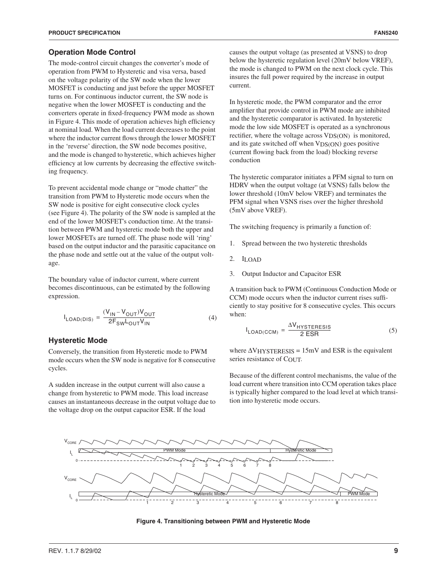#### **Operation Mode Control**

The mode-control circuit changes the converter's mode of operation from PWM to Hysteretic and visa versa, based on the voltage polarity of the SW node when the lower MOSFET is conducting and just before the upper MOSFET turns on. For continuous inductor current, the SW node is negative when the lower MOSFET is conducting and the converters operate in fixed-frequency PWM mode as shown in Figure 4. This mode of operation achieves high efficiency at nominal load. When the load current decreases to the point where the inductor current flows through the lower MOSFET in the 'reverse' direction, the SW node becomes positive, and the mode is changed to hysteretic, which achieves higher efficiency at low currents by decreasing the effective switching frequency.

To prevent accidental mode change or "mode chatter" the transition from PWM to Hysteretic mode occurs when the SW node is positive for eight consecutive clock cycles (see Figure 4). The polarity of the SW node is sampled at the end of the lower MOSFET's conduction time. At the transition between PWM and hysteretic mode both the upper and lower MOSFETs are turned off. The phase node will 'ring' based on the output inductor and the parasitic capacitance on the phase node and settle out at the value of the output voltage.

The boundary value of inductor current, where current becomes discontinuous, can be estimated by the following expression.

$$
I_{\text{LOAD(DIS)}} = \frac{(V_{\text{IN}} - V_{\text{OUT}})V_{\text{OUT}}}{2F_{\text{SW}}L_{\text{OUT}}V_{\text{IN}}}
$$
(4)

#### **Hysteretic Mode**

Conversely, the transition from Hysteretic mode to PWM mode occurs when the SW node is negative for 8 consecutive cycles.

A sudden increase in the output current will also cause a change from hysteretic to PWM mode. This load increase causes an instantaneous decrease in the output voltage due to the voltage drop on the output capacitor ESR. If the load

causes the output voltage (as presented at VSNS) to drop below the hysteretic regulation level (20mV below VREF), the mode is changed to PWM on the next clock cycle. This insures the full power required by the increase in output current.

In hysteretic mode, the PWM comparator and the error amplifier that provide control in PWM mode are inhibited and the hysteretic comparator is activated. In hysteretic mode the low side MOSFET is operated as a synchronous rectifier, where the voltage across VDS(ON) is monitored, and its gate switched off when VDS(ON) goes positive (current flowing back from the load) blocking reverse conduction

The hysteretic comparator initiates a PFM signal to turn on HDRV when the output voltage (at VSNS) falls below the lower threshold (10mV below VREF) and terminates the PFM signal when VSNS rises over the higher threshold (5mV above VREF).

The switching frequency is primarily a function of:

- 1. Spread between the two hysteretic thresholds
- 2. ILOAD
- 3. Output Inductor and Capacitor ESR

A transition back to PWM (Continuous Conduction Mode or CCM) mode occurs when the inductor current rises sufficiently to stay positive for 8 consecutive cycles. This occurs when:

$$
I_{\text{LOAD(CCM)}} = \frac{\Delta V_{\text{HYSTERESIS}}}{2\text{ ESR}}\tag{5}
$$

where  $\Delta V$ HYSTERESIS = 15mV and ESR is the equivalent series resistance of COUT.

Because of the different control mechanisms, the value of the load current where transition into CCM operation takes place is typically higher compared to the load level at which transition into hysteretic mode occurs.



**Figure 4. Transitioning between PWM and Hysteretic Mode**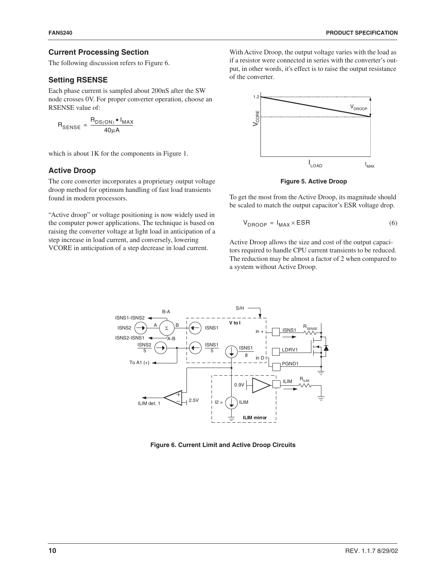### **Current Processing Section**

The following discussion refers to Figure 6.

### **Setting RSENSE**

Each phase current is sampled about 200nS after the SW node crosses 0V. For proper converter operation, choose an RSENSE value of:

 $R_{\text{SENSE}} = \frac{R_{\text{DS}(\text{ON})} \cdot I_{\text{MAX}}}{40 \mu \text{A}}$ 

which is about 1K for the components in Figure 1.

### **Active Droop**

The core converter incorporates a proprietary output voltage droop method for optimum handling of fast load transients found in modern processors.

"Active droop" or voltage positioning is now widely used in the computer power applications. The technique is based on raising the converter voltage at light load in anticipation of a step increase in load current, and conversely, lowering VCORE in anticipation of a step decrease in load current.

With Active Droop, the output voltage varies with the load as if a resistor were connected in series with the converter's output, in other words, it's effect is to raise the output resistance of the converter.



**Figure 5. Active Droop**

To get the most from the Active Droop, its magnitude should be scaled to match the output capacitor's ESR voltage drop.

$$
V_{DROOP} = I_{MAX} \times ESR
$$
 (6)

Active Droop allows the size and cost of the output capacitors required to handle CPU current transients to be reduced. The reduction may be almost a factor of 2 when compared to a system without Active Droop.



**Figure 6. Current Limit and Active Droop Circuits**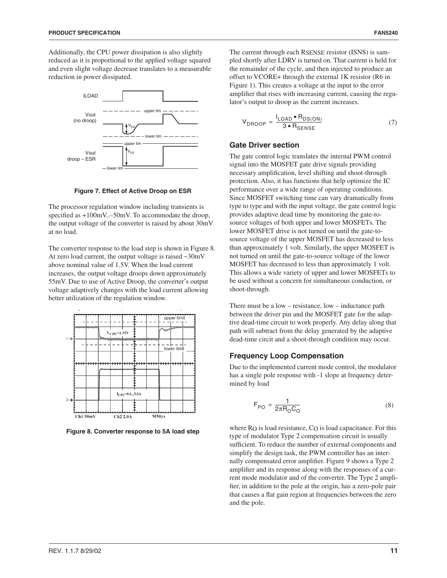Additionally, the CPU power dissipation is also slightly reduced as it is proportional to the applied voltage squared and even slight voltage decrease translates to a measurable reduction in power dissipated.



**Figure 7. Effect of Active Droop on ESR**

The processor regulation window including transients is specified as  $+100$ mV..–50mV. To accommodate the droop, the output voltage of the converter is raised by about 30mV at no load.

The converter response to the load step is shown in Figure 8. At zero load current, the output voltage is raised ~30mV above nominal value of 1.5V. When the load current increases, the output voltage droops down approximately 55mV. Due to use of Active Droop, the converter's output voltage adaptively changes with the load current allowing better utilization of the regulation window.



**Figure 8. Converter response to 5A load step**

The current through each RSENSE resistor (ISNS) is sampled shortly after LDRV is turned on. That current is held for the remainder of the cycle, and then injected to produce an offset to VCORE+ through the external 1K resistor (R6 in Figure 1). This creates a voltage at the input to the error amplifier that rises with increasing current, causing the regulator's output to droop as the current increases.

$$
V_{DROOP} = \frac{I_{LOAD} \cdot R_{DS(ON)}}{3 \cdot R_{SENSE}} \tag{7}
$$

#### **Gate Driver section**

The gate control logic translates the internal PWM control signal into the MOSFET gate drive signals providing necessary amplification, level shifting and shoot-through protection. Also, it has functions that help optimize the IC performance over a wide range of operating conditions. Since MOSFET switching time can vary dramatically from type to type and with the input voltage, the gate control logic provides adaptive dead time by monitoring the gate-tosource voltages of both upper and lower MOSFETs. The lower MOSFET drive is not turned on until the gate-tosource voltage of the upper MOSFET has decreased to less than approximately 1 volt. Similarly, the upper MOSFET is not turned on until the gate-to-source voltage of the lower MOSFET has decreased to less than approximately 1 volt. This allows a wide variety of upper and lower MOSFETs to be used without a concern for simultaneous conduction, or shoot-through.

There must be a low – resistance, low – inductance path between the driver pin and the MOSFET gate for the adaptive dead-time circuit to work properly. Any delay along that path will subtract from the delay generated by the adaptive dead-time circit and a shoot-through condition may occur.

### **Frequency Loop Compensation**

Due to the implemented current mode control, the modulator has a single pole response with -1 slope at frequency determined by load

$$
F_{PO} = \frac{1}{2\pi R_0 C_0} \tag{8}
$$

where RO is load resistance, CO is load capacitance. For this type of modulator Type 2 compensation circuit is usually sufficient. To reduce the number of external components and simplify the design task, the PWM controller has an internally compensated error amplifier. Figure 9 shows a Type 2 amplifier and its response along with the responses of a current mode modulator and of the converter. The Type 2 amplifier, in addition to the pole at the origin, has a zero-pole pair that causes a flat gain region at frequencies between the zero and the pole.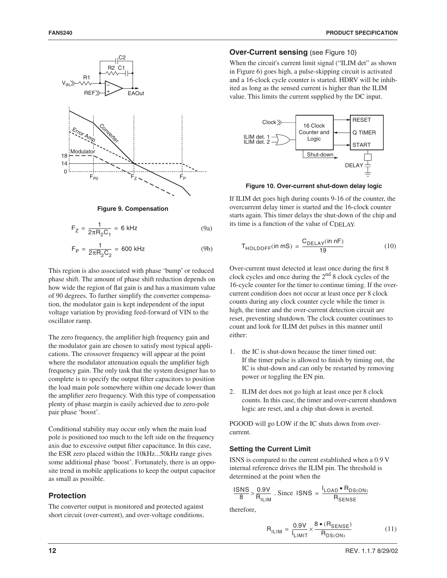



$$
F_Z = \frac{1}{2\pi R_2 C_1} = 6 \text{ kHz} \tag{9a}
$$

$$
F_P = \frac{1}{2\pi R_2 C_2} = 600 \text{ kHz}
$$
 (9b)

This region is also associated with phase 'bump' or reduced phase shift. The amount of phase shift reduction depends on how wide the region of flat gain is and has a maximum value of 90 degrees. To further simplify the converter compensation, the modulator gain is kept independent of the input voltage variation by providing feed-forward of VIN to the oscillator ramp.

The zero frequency, the amplifier high frequency gain and the modulator gain are chosen to satisfy most typical applications. The crossover frequency will appear at the point where the modulator attenuation equals the amplifier high frequency gain. The only task that the system designer has to complete is to specify the output filter capacitors to position the load main pole somewhere within one decade lower than the amplifier zero frequency. With this type of compensation plenty of phase margin is easily achieved due to zero-pole pair phase 'boost'.

Conditional stability may occur only when the main load pole is positioned too much to the left side on the frequency axis due to excessive output filter capacitance. In this case, the ESR zero placed within the 10kHz...50kHz range gives some additional phase 'boost'. Fortunately, there is an opposite trend in mobile applications to keep the output capacitor as small as possible.

### **Protection**

The converter output is monitored and protected against short circuit (over-current), and over-voltage conditions.

#### **Over-Current sensing** (see Figure 10)

When the circuit's current limit signal ("ILIM det" as shown in Figure 6) goes high, a pulse-skipping circuit is activated and a 16-clock cycle counter is started. HDRV will be inhibited as long as the sensed current is higher than the ILIM value. This limits the current supplied by the DC input.



**Figure 10. Over-current shut-down delay logic**

If ILIM det goes high during counts 9-16 of the counter, the overcurrent delay timer is started and the 16-clock counter starts again. This timer delays the shut-down of the chip and its time is a function of the value of CDELAY.

$$
T_{\text{HOLDOFF}}(\text{in mS}) = \frac{C_{\text{DELAY}}(\text{in nF})}{19} \tag{10}
$$

Over-current must detected at least once during the first 8 clock cycles and once during the  $2<sup>nd</sup>$  8 clock cycles of the 16-cycle counter for the timer to continue timing. If the overcurrent condition does not occur at least once per 8 clock counts during any clock counter cycle while the timer is high, the timer and the over-current detection circuit are reset, preventing shutdown. The clock counter coutinues to count and look for ILIM det pulses in this manner until either:

- 1. the IC is shut-down because the timer timed out: If the timer pulse is allowed to finish by timing out, the IC is shut-down and can only be restarted by removing power or toggling the EN pin.
- 2. ILIM det does not go high at least once per 8 clock counts. In this case, the timer and over-current shutdown logic are reset, and a chip shut-down is averted.

PGOOD will go LOW if the IC shuts down from overcurrent.

#### **Setting the Current Limit**

ISNS is compared to the current established when a 0.9 V internal reference drives the ILIM pin. The threshold is determined at the point when the

$$
\frac{\text{ISNS}}{8} > \frac{0.9 \text{V}}{\text{R}_{\text{ILIM}}} \text{ . Since } \text{ISNS} = \frac{I_{\text{LOAD}} \cdot \text{R}_{\text{DS(ON)}}}{\text{R}_{\text{SENSE}}}
$$

therefore,

$$
R_{ILIM} = \frac{0.9V}{I_{LIMIT}} \times \frac{8 \cdot (R_{SENSE})}{R_{DS(ON)}}
$$
(11)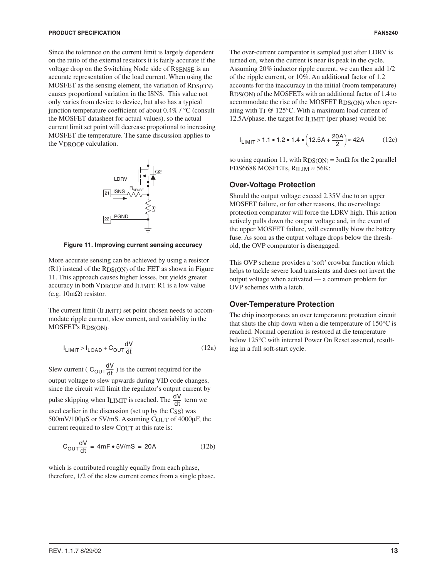Since the tolerance on the current limit is largely dependent on the ratio of the external resistors it is fairly accurate if the voltage drop on the Switching Node side of RSENSE is an accurate representation of the load current. When using the MOSFET as the sensing element, the variation of RDS(ON) causes proportional variation in the ISNS. This value not only varies from device to device, but also has a typical junction temperature coefficient of about 0.4% / °C (consult the MOSFET datasheet for actual values), so the actual current limit set point will decrease propotional to increasing MOSFET die temperature. The same discussion applies to the VDROOP calculation.



**Figure 11. Improving current sensing accuracy**

More accurate sensing can be achieved by using a resistor  $(R1)$  instead of the R<sub>DS(ON)</sub> of the FET as shown in Figure 11. This approach causes higher losses, but yields greater accuracy in both VDROOP and ILIMIT. R1 is a low value (e.g. 10mΩ) resistor.

The current limit (I<sub>LIMIT</sub>) set point chosen needs to accommodate ripple current, slew current, and variability in the MOSFET's RDS(ON).

$$
I_{LIMIT} > I_{LOAD} + C_{OUT} \frac{dV}{dt}
$$
 (12a)

Slew current ( $C_{\text{OUT}} \frac{dV}{dt}$ ) is the current required for the output voltage to slew upwards during VID code changes, since the circuit will limit the regulator's output current by pulse skipping when  $I$ <sub>LIMIT</sub> is reached. The  $\frac{dV}{dt}$  term we used earlier in the discussion (set up by the CSS) was 500mV/100µS or 5V/mS. Assuming COUT of 4000µF, the current required to slew COUT at this rate is:

$$
C_{\text{OUT}} \frac{dV}{dt} = 4mF \cdot 5V/mS = 20A \tag{12b}
$$

which is contributed roughly equally from each phase, therefore, 1/2 of the slew current comes from a single phase. The over-current comparator is sampled just after LDRV is turned on, when the current is near its peak in the cycle. Assuming 20% inductor ripple current, we can then add 1/2 of the ripple current, or 10%. An additional factor of 1.2 accounts for the inaccuracy in the initial (room temperature) RDS(ON) of the MOSFETs with an additional factor of 1.4 to accommodate the rise of the MOSFET RDS(ON) when operating with TJ @ 125°C. With a maximum load current of 12.5A/phase, the target for ILIMIT (per phase) would be:

$$
I_{LIMIT} > 1.1 \cdot 1.2 \cdot 1.4 \cdot \left(12.5A + \frac{20A}{2}\right) \approx 42A \tag{12c}
$$

so using equation 11, with  $RDS(ON) = 3m\Omega$  for the 2 parallel FDS6688 MOSFETs, RILIM ≈ 56K:

#### **Over-Voltage Protection**

Should the output voltage exceed 2.35V due to an upper MOSFET failure, or for other reasons, the overvoltage protection comparator will force the LDRV high. This action actively pulls down the output voltage and, in the event of the upper MOSFET failure, will eventually blow the battery fuse. As soon as the output voltage drops below the threshold, the OVP comparator is disengaged.

This OVP scheme provides a 'soft' crowbar function which helps to tackle severe load transients and does not invert the output voltage when activated — a common problem for OVP schemes with a latch.

#### **Over-Temperature Protection**

The chip incorporates an over temperature protection circuit that shuts the chip down when a die temperature of 150°C is reached. Normal operation is restored at die temperature below 125°C with internal Power On Reset asserted, resulting in a full soft-start cycle.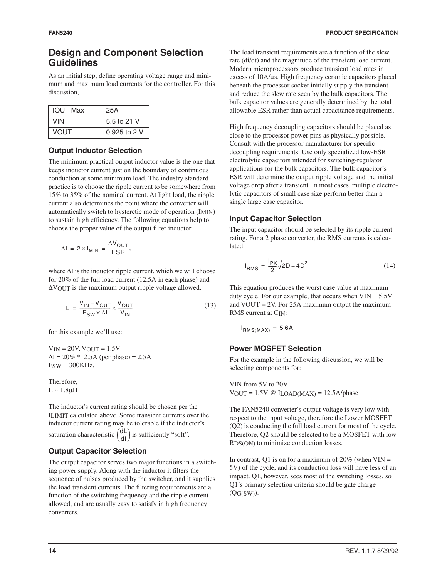### **Design and Component Selection Guidelines**

As an initial step, define operating voltage range and minimum and maximum load currents for the controller. For this discussion,

| <b>IOUT Max</b> | 25A            |
|-----------------|----------------|
| VIN             | 5.5 to 21 V    |
| VOUT            | $0.925$ to 2 V |

### **Output Inductor Selection**

The minimum practical output inductor value is the one that keeps inductor current just on the boundary of continuous conduction at some minimum load. The industry standard practice is to choose the ripple current to be somewhere from 15% to 35% of the nominal current. At light load, the ripple current also determines the point where the converter will automatically switch to hysteretic mode of operation (IMIN) to sustain high efficiency. The following equations help to choose the proper value of the output filter inductor.

$$
\Delta I = 2 \times I_{MIN} = \frac{\Delta V_{OUT}}{ESR},
$$

where ∆I is the inductor ripple current, which we will choose for 20% of the full load current (12.5A in each phase) and ∆VOUT is the maximum output ripple voltage allowed.

$$
L = \frac{V_{IN} - V_{OUT}}{F_{SW} \times \Delta I} \times \frac{V_{OUT}}{V_{IN}}
$$
(13)

for this example we'll use:

 $V_{IN} = 20V$ ,  $V_{OUT} = 1.5V$  $\Delta I = 20\% * 12.5A$  (per phase) = 2.5A FSW = 300KHz.

Therefore,  $L \approx 1.8 \mu H$ 

The inductor's current rating should be chosen per the ILIMIT calculated above. Some transient currents over the inductor current rating may be tolerable if the inductor's saturation characteristic  $\left(\frac{dL}{dl}\right)$  is sufficiently "soft".

### **Output Capacitor Selection**

The output capacitor serves two major functions in a switching power supply. Along with the inductor it filters the sequence of pulses produced by the switcher, and it supplies the load transient currents. The filtering requirements are a function of the switching frequency and the ripple current allowed, and are usually easy to satisfy in high frequency converters.

The load transient requirements are a function of the slew rate (di/dt) and the magnitude of the transient load current. Modern microprocessors produce transient load rates in excess of 10A/µs. High frequency ceramic capacitors placed beneath the processor socket initially supply the transient and reduce the slew rate seen by the bulk capacitors. The bulk capacitor values are generally determined by the total allowable ESR rather than actual capacitance requirements.

High frequency decoupling capacitors should be placed as close to the processor power pins as physically possible. Consult with the processor manufacturer for specific decoupling requirements. Use only specialized low-ESR electrolytic capacitors intended for switching-regulator applications for the bulk capacitors. The bulk capacitor's ESR will determine the output ripple voltage and the initial voltage drop after a transient. In most cases, multiple electrolytic capacitors of small case size perform better than a single large case capacitor.

### **Input Capacitor Selection**

The input capacitor should be selected by its ripple current rating. For a 2 phase converter, the RMS currents is calculated:

$$
I_{RMS} = \frac{I_{PK}}{2} \sqrt{2D - 4D^2}
$$
 (14)

This equation produces the worst case value at maximum duty cycle. For our example, that occurs when  $VIN = 5.5V$ and VOUT = 2V. For 25A maximum output the maximum RMS current at CIN:

$$
I_{RMS(MAX)} = 5.6A
$$

### **Power MOSFET Selection**

For the example in the following discussion, we will be selecting components for:

VIN from 5V to 20V  $V_{OUT} = 1.5V \circ I_{LOAD(MAX)} = 12.5A/phase$ 

The FAN5240 converter's output voltage is very low with respect to the input voltage, therefore the Lower MOSFET (Q2) is conducting the full load current for most of the cycle. Therefore, Q2 should be selected to be a MOSFET with low RDS(ON) to minimize conduction losses.

In contrast, Q1 is on for a maximum of  $20\%$  (when VIN = 5V) of the cycle, and its conduction loss will have less of an impact. Q1, however, sees most of the switching losses, so Q1's primary selection criteria should be gate charge (QG(SW)).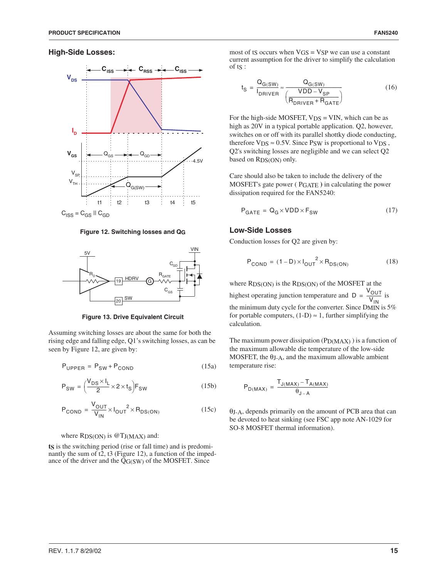

 $C_{ISS} = C_{GS}$  ||  $C_{GD}$ 

**Figure 12. Switching losses and QG**



**Figure 13. Drive Equivalent Circuit**

Assuming switching losses are about the same for both the rising edge and falling edge, Q1's switching losses, as can be seen by Figure 12, are given by:

 $P_{\text{UPPER}} = P_{\text{SW}} + P_{\text{COMP}}$  (15a)

$$
P_{SW} = \left(\frac{V_{DS} \times I_L}{2} \times 2 \times t_S\right) F_{SW}
$$
 (15b)

$$
P_{\text{COND}} = \frac{V_{\text{OUT}}}{V_{\text{IN}}} \times I_{\text{OUT}}^2 \times R_{\text{DS}(\text{ON})}
$$
(15c)

#### where  $RDS(ON)$  is  $@TJ(MAX)$  and:

**ts** is the switching period (rise or fall time) and is predominantly the sum of  $t\bar{2}$ ,  $t\bar{3}$  (Figure 12), a function of the impedance of the driver and the  $\overline{QG(SW)}$  of the MOSFET. Since

most of t $S$  occurs when  $VGS = VSP$  we can use a constant current assumption for the driver to simplify the calculation of tS :

$$
t_{S} = \frac{Q_{G(SW)}}{I_{DRIVER}} \approx \frac{Q_{G(SW)}}{\left(\frac{VDD - V_{SP}}{R_{DRIVER} + R_{GATE}}\right)}
$$
(16)

For the high-side MOSFET,  $V_{DS} = VIN$ , which can be as high as 20V in a typical portable application. Q2, however, switches on or off with its parallel shottky diode conducting, therefore  $V_{DS} \approx 0.5V$ . Since Psw is proportional to  $V_{DS}$ , Q2's switching losses are negligible and we can select Q2 based on RDS(ON) only.

Care should also be taken to include the delivery of the MOSFET's gate power ( PGATE **)** in calculating the power dissipation required for the FAN5240:

$$
P_{GATE} = Q_G \times VDD \times F_{SW}
$$
 (17)

#### **Low-Side Losses**

Conduction losses for Q2 are given by:

$$
P_{\text{COND}} = (1 - D) \times I_{\text{OUT}}^2 \times R_{\text{DS}(\text{ON})}
$$
 (18)

where RDS(ON) is the RDS(ON) of the MOSFET at the highest operating junction temperature and  $D = \frac{V_{OUT}}{V}$  is the minimum duty cycle for the converter. Since DMIN is 5% for portable computers,  $(1-D) \approx 1$ , further simplifying the calculation.  $=\frac{V_{\text{IN}}}{V_{\text{IN}}}$ 

The maximum power dissipation  $(P_D(MAX))$  is a function of the maximum allowable die temperature of the low-side MOSFET, the θJ-A, and the maximum allowable ambient temperature rise:

$$
P_{D(MAX)}\,=\,\frac{T_{J(MAX)}-T_{A(MAX)}}{\theta_{J-A}}
$$

θJ-A, depends primarily on the amount of PCB area that can be devoted to heat sinking (see FSC app note AN-1029 for SO-8 MOSFET thermal information).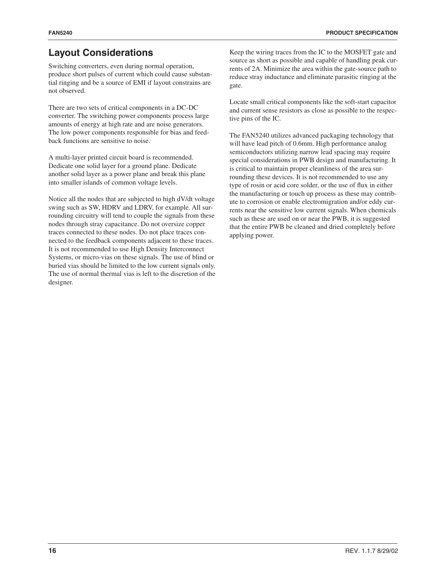# **Layout Considerations**

Switching converters, even during normal operation, produce short pulses of current which could cause substantial ringing and be a source of EMI if layout constrains are not observed.

There are two sets of critical components in a DC-DC converter. The switching power components process large amounts of energy at high rate and are noise generators. The low power components responsible for bias and feedback functions are sensitive to noise.

A multi-layer printed circuit board is recommended. Dedicate one solid layer for a ground plane. Dedicate another solid layer as a power plane and break this plane into smaller islands of common voltage levels.

Notice all the nodes that are subjected to high dV/dt voltage swing such as SW, HDRV and LDRV, for example. All surrounding circuitry will tend to couple the signals from these nodes through stray capacitance. Do not oversize copper traces connected to these nodes. Do not place traces connected to the feedback components adjacent to these traces. It is not recommended to use High Density Interconnect Systems, or micro-vias on these signals. The use of blind or buried vias should be limited to the low current signals only. The use of normal thermal vias is left to the discretion of the designer.

Keep the wiring traces from the IC to the MOSFET gate and source as short as possible and capable of handling peak currents of 2A. Minimize the area within the gate-source path to reduce stray inductance and eliminate parasitic ringing at the gate.

Locate small critical components like the soft-start capacitor and current sense resistors as close as possible to the respective pins of the IC.

The FAN5240 utilizes advanced packaging technology that will have lead pitch of 0.6mm. High performance analog semiconductors utilizing narrow lead spacing may require special considerations in PWB design and manufacturing. It is critical to maintain proper cleanliness of the area surrounding these devices. It is not recommended to use any type of rosin or acid core solder, or the use of flux in either the manufacturing or touch up process as these may contribute to corrosion or enable electromigration and/or eddy currents near the sensitive low current signals. When chemicals such as these are used on or near the PWB, it is suggested that the entire PWB be cleaned and dried completely before applying power.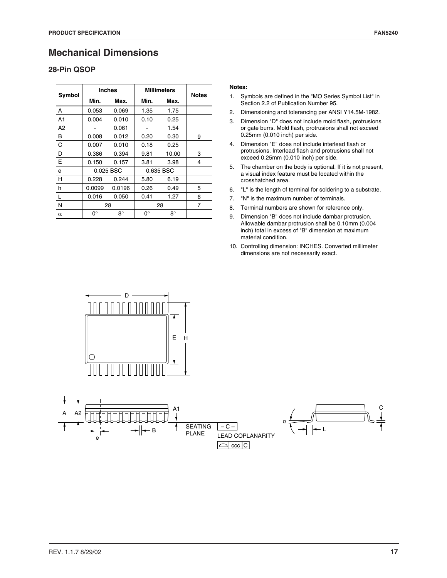# **Mechanical Dimensions**

### **28-Pin QSOP**

| Symbol         | <b>Inches</b> |           | <b>Millimeters</b> | <b>Notes</b> |   |
|----------------|---------------|-----------|--------------------|--------------|---|
|                | Min.          | Max.      | Min.               | Max.         |   |
| A              | 0.053         | 0.069     | 1.35               | 1.75         |   |
| A <sub>1</sub> | 0.004         | 0.010     | 0.10               | 0.25         |   |
| A2             |               | 0.061     |                    | 1.54         |   |
| B              | 0.008         | 0.012     | 0.20               | 0.30         | 9 |
| C              | 0.007         | 0.010     | 0.18               | 0.25         |   |
| D              | 0.386         | 0.394     | 9.81               | 10.00        | 3 |
| E              | 0.150         | 0.157     | 3.81               | 3.98         | 4 |
| е              | 0.025 BSC     |           |                    | 0.635 BSC    |   |
| H              | 0.228         | 0.244     | 5.80               | 6.19         |   |
| h              | 0.0099        | 0.0196    | 0.26               | 0.49         | 5 |
|                | 0.016         | 0.050     | 0.41               | 1.27         | 6 |
| N              | 28            |           | 28                 |              | 7 |
| $\alpha$       | 0°            | $8^\circ$ | 0°                 | $8^\circ$    |   |

#### **Notes:**

- 1. Symbols are defined in the "MO Series Symbol List" in Section 2.2 of Publication Number 95.
- 2. Dimensioning and tolerancing per ANSI Y14.5M-1982.
- 3. Dimension "D" does not include mold flash, protrusions or gate burrs. Mold flash, protrusions shall not exceed 0.25mm (0.010 inch) per side.
- 4. Dimension "E" does not include interlead flash or protrusions. Interlead flash and protrusions shall not exceed 0.25mm (0.010 inch) per side.
- 5. The chamber on the body is optional. If it is not present, a visual index feature must be located within the crosshatched area.
- 6. "L" is the length of terminal for soldering to a substrate.
- 7. "N" is the maximum number of terminals.
- 8. Terminal numbers are shown for reference only.
- 9. Dimension "B" does not include dambar protrusion. Allowable dambar protrusion shall be 0.10mm (0.004 inch) total in excess of "B" dimension at maximum material condition.
- 10. Controlling dimension: INCHES. Converted millimeter dimensions are not necessarily exact.



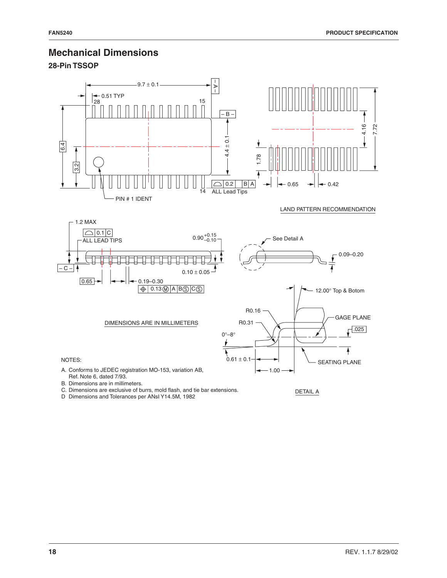## **Mechanical Dimensions**

**28-Pin TSSOP**



B. Dimensions are in millimeters.

C. Dimensions are exclusive of burrs, mold flash, and tie bar extensions.

D Dimensions and Tolerances per ANsI Y14.5M, 1982

DETAIL A